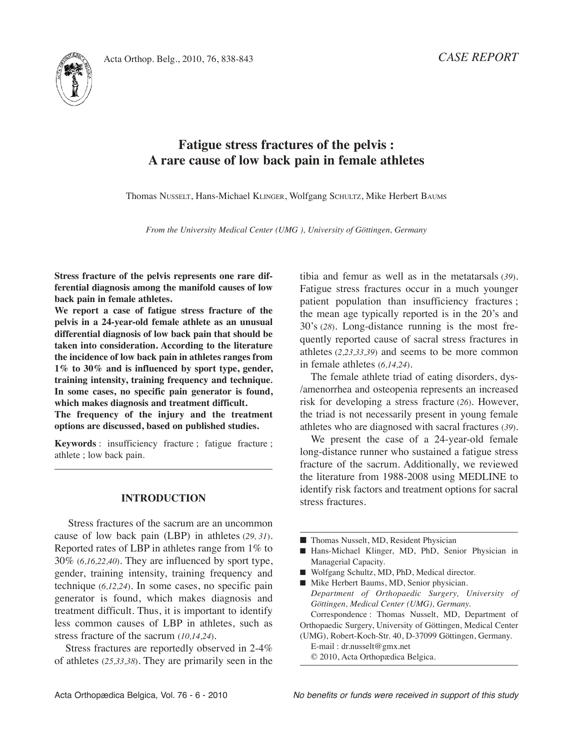*CASE REPORT*



# **Fatigue stress fractures of the pelvis : A rare cause of low back pain in female athletes**

Thomas NUSSELT, Hans-Michael KLINGER, Wolfgang SCHULTZ, Mike Herbert BAUMS

*From the University Medical Center (UMG ), University of Göttingen, Germany*

**Stress fracture of the pelvis represents one rare differential diagnosis among the manifold causes of low back pain in female athletes.**

**We report a case of fatigue stress fracture of the pelvis in a 24-year-old female athlete as an unusual differential diagnosis of low back pain that should be taken into consideration. According to the literature the incidence of low back pain in athletes ranges from 1% to 30% and is influenced by sport type, gender, training intensity, training frequency and technique***.* **In some cases, no specific pain generator is found, which makes diagnosis and treatment difficult.**

**The frequency of the injury and the treatment options are discussed, based on published studies.**

**Keywords** : insufficiency fracture ; fatigue fracture ; athlete ; low back pain.

#### **INTRODUCTION**

Stress fractures of the sacrum are an uncommon cause of low back pain (LBP) in athletes (29, 31). Reported rates of lBP in athletes range from 1% to 30% (*6,16,22,40*). They are influenced by sport type, gender, training intensity, training frequency and technique (*6,12,24*)*.* in some cases, no specific pain generator is found, which makes diagnosis and treatment difficult. Thus, it is important to identify less common causes of lBP in athletes, such as stress fracture of the sacrum (*10,14,24*)*.*

Stress fractures are reportedly observed in 2-4% of athletes (*25,33,38*)*.* They are primarily seen in the tibia and femur as well as in the metatarsals (*39*)*.* Fatigue stress fractures occur in a much younger patient population than insufficiency fractures ; the mean age typically reported is in the 20's and 30's (*28*)*.* long-distance running is the most frequently reported cause of sacral stress fractures in athletes (*2,23,33,39*) and seems to be more common in female athletes (*6,14,24*)*.*

The female athlete triad of eating disorders, dys- /amenorrhea and osteopenia represents an increased risk for developing a stress fracture (*26*)*.* However, the triad is not necessarily present in young female athletes who are diagnosed with sacral fractures (*39*)*.*

We present the case of a 24-year-old female long-distance runner who sustained a fatigue stress fracture of the sacrum. Additionally, we reviewed the literature from 1988-2008 using MEDliNE to identify risk factors and treatment options for sacral stress fractures.

- Thomas Nusselt, MD, Resident Physician
- Hans-Michael Klinger, MD, PhD, Senior Physician in Managerial Capacity.
- Wolfgang Schultz, MD, PhD, Medical director.
- Mike Herbert Baums, MD, Senior physician. *Department of Orthopaedic Surgery, University of Göttingen, Medical Center (UMG), Germany.* Correspondence : Thomas Nusselt, MD, Department of

Orthopaedic Surgery, University of Göttingen, Medical Center (UMG), Robert-Koch-Str. 40, D-37099 Göttingen, Germany.

E-mail : dr.nusselt@gmx.net © 2010, Acta Orthopædica Belgica.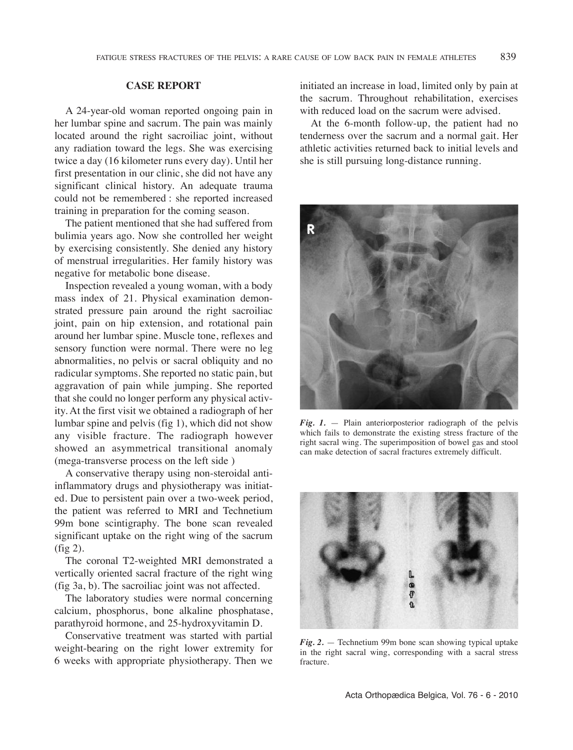## **CASE REPORT**

A 24-year-old woman reported ongoing pain in her lumbar spine and sacrum. The pain was mainly located around the right sacroiliac joint, without any radiation toward the legs. She was exercising twice a day (16 kilometer runs every day). Until her first presentation in our clinic, she did not have any significant clinical history. An adequate trauma could not be remembered : she reported increased training in preparation for the coming season.

The patient mentioned that she had suffered from bulimia years ago. Now she controlled her weight by exercising consistently. She denied any history of menstrual irregularities. Her family history was negative for metabolic bone disease.

Inspection revealed a young woman, with a body mass index of 21. Physical examination demonstrated pressure pain around the right sacroiliac joint, pain on hip extension, and rotational pain around her lumbar spine. Muscle tone, reflexes and sensory function were normal. There were no leg abnormalities, no pelvis or sacral obliquity and no radicular symptoms. She reported no static pain, but aggravation of pain while jumping. She reported that she could no longer perform any physical activity. At the first visit we obtained a radiograph of her lumbar spine and pelvis (fig 1), which did not show any visible fracture. The radiograph however showed an asymmetrical transitional anomaly (mega-transverse process on the left side )

A conservative therapy using non-steroidal antiinflammatory drugs and physiotherapy was initiated. Due to persistent pain over a two-week period, the patient was referred to MRi and Technetium 99m bone scintigraphy. The bone scan revealed significant uptake on the right wing of the sacrum (fig 2).

The coronal T2-weighted MRi demonstrated a vertically oriented sacral fracture of the right wing (fig 3a, b). The sacroiliac joint was not affected.

The laboratory studies were normal concerning calcium, phosphorus, bone alkaline phosphatase, parathyroid hormone, and 25-hydroxyvitamin D.

Conservative treatment was started with partial weight-bearing on the right lower extremity for 6 weeks with appropriate physiotherapy. Then we

initiated an increase in load, limited only by pain at the sacrum. Throughout rehabilitation, exercises with reduced load on the sacrum were advised.

At the 6-month follow-up, the patient had no tenderness over the sacrum and a normal gait. Her athletic activities returned back to initial levels and she is still pursuing long-distance running.



*Fig. 1.* — Plain anteriorposterior radiograph of the pelvis which fails to demonstrate the existing stress fracture of the right sacral wing. The superimposition of bowel gas and stool can make detection of sacral fractures extremely difficult.



*Fig. 2.* — Technetium 99m bone scan showing typical uptake in the right sacral wing, corresponding with a sacral stress fracture.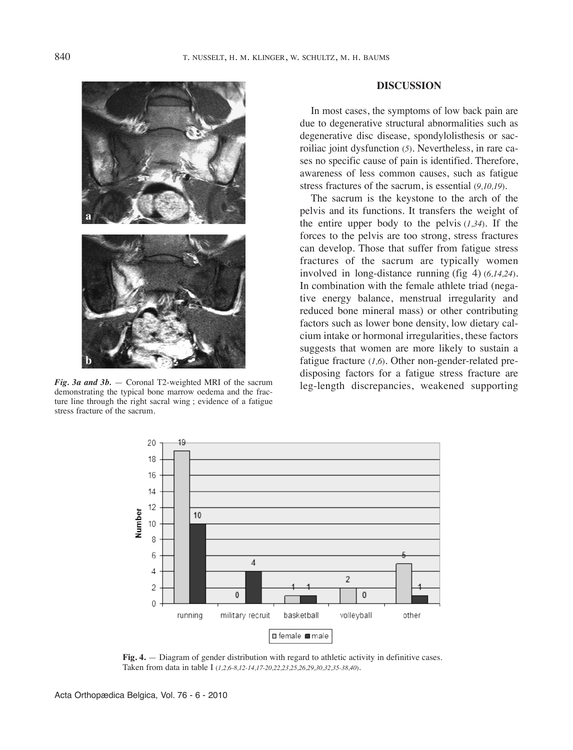

*Fig. 3a and 3b.* — Coronal T2-weighted MRi of the sacrum demonstrating the typical bone marrow oedema and the fracture line through the right sacral wing ; evidence of a fatigue stress fracture of the sacrum.

## **DISCUSSION**

In most cases, the symptoms of low back pain are due to degenerative structural abnormalities such as degenerative disc disease, spondylolisthesis or sacroiliac joint dysfunction (*5*)*.* Nevertheless, in rare cases no specific cause of pain is identified. Therefore, awareness of less common causes, such as fatigue stress fractures of the sacrum, is essential (*9,10,19*)*.*

The sacrum is the keystone to the arch of the pelvis and its functions. it transfers the weight of the entire upper body to the pelvis  $(1,34)$ . If the forces to the pelvis are too strong, stress fractures can develop. Those that suffer from fatigue stress fractures of the sacrum are typically women involved in long-distance running (fig 4) (*6,14,24*)*.* In combination with the female athlete triad (negative energy balance, menstrual irregularity and reduced bone mineral mass) or other contributing factors such as lower bone density, low dietary calcium intake or hormonal irregularities, these factors suggests that women are more likely to sustain a fatigue fracture (*1,6*)*.* Other non-gender-related predisposing factors for a fatigue stress fracture are leg-length discrepancies, weakened supporting



**Fig. 4.** — Diagram of gender distribution with regard to athletic activity in definitive cases. Taken from data in table I (1,2,6-8,12-14,17-20,22,23,25,26,29,30,32,35-38,40)*.*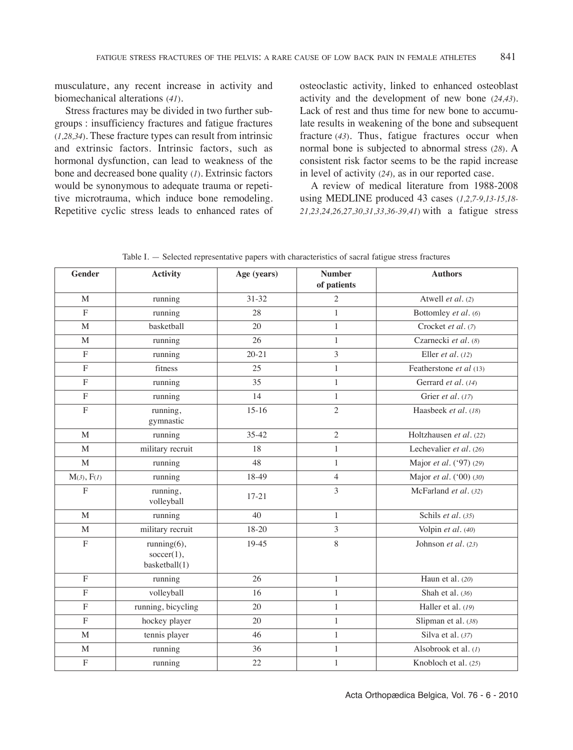musculature, any recent increase in activity and biomechanical alterations (*41*)*.*

Stress fractures may be divided in two further subgroups : insufficiency fractures and fatigue fractures (*1,28,34*)*.* These fracture types can result from intrinsic and extrinsic factors. intrinsic factors, such as hormonal dysfunction, can lead to weakness of the bone and decreased bone quality (*1*)*.* Extrinsic factors would be synonymous to adequate trauma or repetitive microtrauma, which induce bone remodeling. Repetitive cyclic stress leads to enhanced rates of osteoclastic activity, linked to enhanced osteoblast activity and the development of new bone (*24,43*). Lack of rest and thus time for new bone to accumulate results in weakening of the bone and subsequent fracture (*43*)*.* Thus, fatigue fractures occur when normal bone is subjected to abnormal stress (*28*)*.* A consistent risk factor seems to be the rapid increase in level of activity (*24*)*,* as in our reported case.

A review of medical literature from 1988-2008 using MEDliNE produced 43 cases (*1,2,7-9,13-15,18- 21,23,24,26,27,30,31,33,36-39,41*) with a fatigue stress

| <b>Gender</b>           | <b>Activity</b>                            | Age (years) | <b>Number</b><br>of patients | <b>Authors</b>          |
|-------------------------|--------------------------------------------|-------------|------------------------------|-------------------------|
| M                       | running                                    | 31-32       | $\overline{2}$               | Atwell et al. (2)       |
| $\mathbf{F}$            | running                                    | 28          | $\mathbf{1}$                 | Bottomley et al. (6)    |
| M                       | basketball                                 | 20          | $\mathbf{1}$                 | Crocket et al. (7)      |
| M                       | running                                    | 26          | $\mathbf{1}$                 | Czarnecki et al. (8)    |
| $\mathbf{F}$            | running                                    | $20 - 21$   | 3                            | Eller et al. $(12)$     |
| $\mathbf{F}$            | fitness                                    | 25          | $\mathbf{1}$                 | Featherstone et al (13) |
| $\mathbf F$             | running                                    | 35          | $\mathbf{1}$                 | Gerrard et al. (14)     |
| $\mathbf F$             | running                                    | 14          | $\mathbf{1}$                 | Grier et al. (17)       |
| $\overline{\mathrm{F}}$ | running,<br>gymnastic                      | $15-16$     | $\overline{2}$               | Haasbeek et al. (18)    |
| M                       | running                                    | $35 - 42$   | $\overline{c}$               | Holtzhausen et al. (22) |
| M                       | military recruit                           | 18          | $\,1\,$                      | Lechevalier et al. (26) |
| M                       | running                                    | 48          | $\mathbf{1}$                 | Major et al. ('97) (29) |
| M(3), F(1)              | running                                    | 18-49       | $\overline{4}$               | Major et al. ('00) (30) |
| $\mathbf F$             | running,<br>volleyball                     | $17 - 21$   | 3                            | McFarland et al. (32)   |
| M                       | running                                    | 40          | $\mathbf{1}$                 | Schils et al. (35)      |
| M                       | military recruit                           | 18-20       | $\overline{3}$               | Volpin et al. (40)      |
| $\mathbf F$             | running(6),<br>soccer(1),<br>basketball(1) | 19-45       | 8                            | Johnson et al. (23)     |
| $\mathbf F$             | running                                    | 26          | $\mathbf{1}$                 | Haun et al. (20)        |
| $\overline{\mathrm{F}}$ | volleyball                                 | 16          | $\,1$                        | Shah et al. (36)        |
| $\overline{\mathrm{F}}$ | running, bicycling                         | 20          | $\mathbf{1}$                 | Haller et al. (19)      |
| $\mathbf F$             | hockey player                              | 20          | $\mathbf{1}$                 | Slipman et al. (38)     |
| M                       | tennis player                              | 46          | $\mathbf{1}$                 | Silva et al. $(37)$     |
| M                       | running                                    | 36          | $\mathbf{1}$                 | Alsobrook et al. (1)    |
| $\mathbf F$             | running                                    | 22          | $\mathbf{1}$                 | Knobloch et al. (25)    |

Table I. — Selected representative papers with characteristics of sacral fatigue stress fractures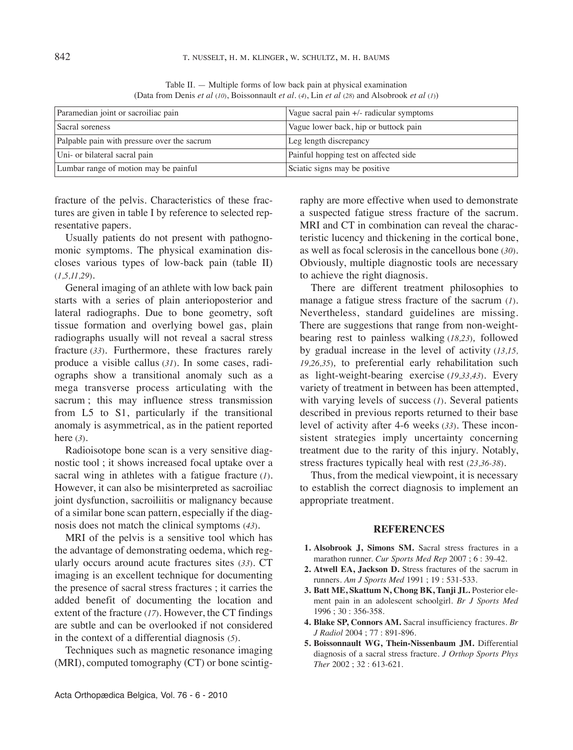| Paramedian joint or sacroiliac pain         | Vague sacral pain +/- radicular symptoms |  |
|---------------------------------------------|------------------------------------------|--|
| Sacral soreness                             | Vague lower back, hip or buttock pain    |  |
| Palpable pain with pressure over the sacrum | Leg length discrepancy                   |  |
| Uni- or bilateral sacral pain               | Painful hopping test on affected side    |  |
| Lumbar range of motion may be painful       | Sciatic signs may be positive            |  |

Table II.  $-$  Multiple forms of low back pain at physical examination (Data from Denis *et al* (*10*), Boissonnault *et al.* (*4*), lin *et al* (*28*) and Alsobrook *et al* (*1*))

fracture of the pelvis. Characteristics of these fractures are given in table I by reference to selected representative papers.

Usually patients do not present with pathognomonic symptoms. The physical examination discloses various types of low-back pain (table  $II$ ) (*1,5,11,29*)*.*

General imaging of an athlete with low back pain starts with a series of plain anterioposterior and lateral radiographs. Due to bone geometry, soft tissue formation and overlying bowel gas, plain radiographs usually will not reveal a sacral stress fracture (*33*). Furthermore, these fractures rarely produce a visible callus (*31*)*.* in some cases, radiographs show a transitional anomaly such as a mega transverse process articulating with the sacrum ; this may influence stress transmission from l5 to S1, particularly if the transitional anomaly is asymmetrical, as in the patient reported here (*3*).

Radioisotope bone scan is a very sensitive diagnostic tool ; it shows increased focal uptake over a sacral wing in athletes with a fatigue fracture (*1*)*.* However, it can also be misinterpreted as sacroiliac joint dysfunction, sacroiliitis or malignancy because of a similar bone scan pattern, especially if the diagnosis does not match the clinical symptoms (*43*).

MRi of the pelvis is a sensitive tool which has the advantage of demonstrating oedema, which regularly occurs around acute fractures sites (*33*). CT imaging is an excellent technique for documenting the presence of sacral stress fractures ; it carries the added benefit of documenting the location and extent of the fracture (*17*). However, the CT findings are subtle and can be overlooked if not considered in the context of a differential diagnosis (*5*)*.*

Techniques such as magnetic resonance imaging (MRi), computed tomography (CT) or bone scintigraphy are more effective when used to demonstrate a suspected fatigue stress fracture of the sacrum. MRI and CT in combination can reveal the characteristic lucency and thickening in the cortical bone, as well as focal sclerosis in the cancellous bone (*30*). Obviously, multiple diagnostic tools are necessary to achieve the right diagnosis.

There are different treatment philosophies to manage a fatigue stress fracture of the sacrum (*1*). Nevertheless, standard guidelines are missing. There are suggestions that range from non-weightbearing rest to painless walking (*18,23*)*,* followed by gradual increase in the level of activity (*13,15, 19,26,35*)*,* to preferential early rehabilitation such as light-weight-bearing exercise (*19,33,43*)*.* Every variety of treatment in between has been attempted, with varying levels of success (*1*)*.* Several patients described in previous reports returned to their base level of activity after 4-6 weeks (*33*). These inconsistent strategies imply uncertainty concerning treatment due to the rarity of this injury. Notably, stress fractures typically heal with rest (*23,36-38*)*.*

Thus, from the medical viewpoint, it is necessary to establish the correct diagnosis to implement an appropriate treatment.

## **REFERENCES**

- **1. Alsobrook J, Simons SM.** Sacral stress fractures in a marathon runner. *Cur Sports Med Rep* 2007 ; 6 : 39-42.
- **2. Atwell EA, Jackson D.** Stress fractures of the sacrum in runners. *Am J Sports Med* 1991 ; 19 : 531-533.
- **3. Batt ME, Skattum N, Chong BK, Tanji JL.** Posterior element pain in an adolescent schoolgirl. *Br J Sports Med* 1996 ; 30 : 356-358.
- **4. Blake SP, Connors AM.** Sacral insufficiency fractures. *Br J Radiol* 2004 ; 77 : 891-896.
- **5. Boissonnault WG, Thein-Nissenbaum JM.** Differential diagnosis of a sacral stress fracture. *J Orthop Sports Phys Ther* 2002 ; 32 : 613-621.